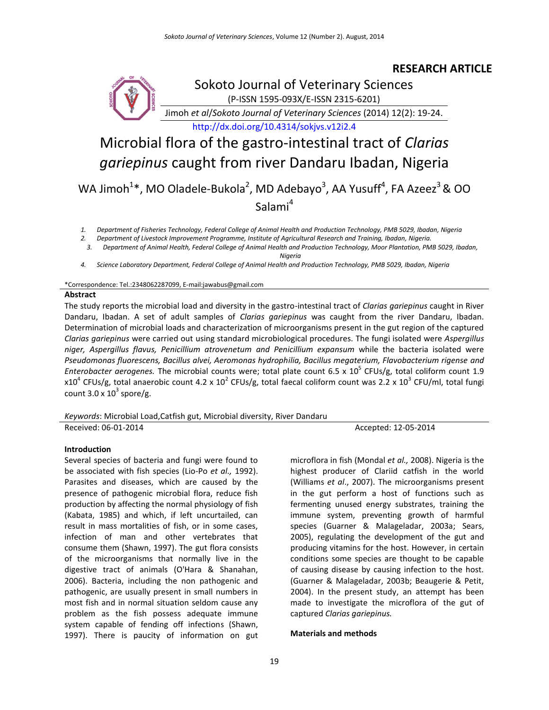# **RESEARCH ARTICLE**



# Microbial flora of the gastro-intestinal tract of *Clarias gariepinus* caught from river Dandaru Ibadan, Nigeria

WA Jimoh<sup>1\*</sup>, MO Oladele-Bukola<sup>2</sup>, MD Adebayo<sup>3</sup>, AA Yusuff<sup>4</sup>, FA Azeez<sup>3</sup> & OO Salami<sup>4</sup>

*1. Department of Fisheries Technology, Federal College of Animal Health and Production Technology, PMB 5029, Ibadan, Nigeria*

*2. Department of Livestock Improvement Programme, Institute of Agricultural Research and Training, Ibadan, Nigeria.*

*3. Department of Animal Health, Federal College of Animal Health and Production Technology, Moor Plantation, PMB 5029, Ibadan, Nigeria*

*4. Science Laboratory Department, Federal College of Animal Health and Production Technology, PMB 5029, Ibadan, Nigeria*

\*Correspondence: Tel.:2348062287099, E-mail:jawabus@gmail.com

#### **Abstract**

The study reports the microbial load and diversity in the gastro-intestinal tract of *Clarias gariepinus* caught in River Dandaru, Ibadan. A set of adult samples of *Clarias gariepinus* was caught from the river Dandaru, Ibadan. Determination of microbial loads and characterization of microorganisms present in the gut region of the captured *Clarias gariepinus* were carried out using standard microbiological procedures. The fungi isolated were *Aspergillus niger, Aspergillus flavus, Penicillium atrovenetum and Penicillium expansum* while the bacteria isolated were *Pseudomonas fluorescens, Bacillus alvei, Aeromonas hydrophilia, Bacillus megaterium, Flavobacterium rigense and* Enterobacter aerogenes. The microbial counts were; total plate count 6.5 x 10<sup>5</sup> CFUs/g, total coliform count 1.9 x10<sup>4</sup> CFUs/g, total anaerobic count 4.2 x 10<sup>2</sup> CFUs/g, total faecal coliform count was 2.2 x 10<sup>3</sup> CFU/ml, total fungi count 3.0 x  $10^3$  spore/g.

*Keywords*: Microbial Load,Catfish gut, Microbial diversity, River Dandaru

Received: 06-01-2014 **Accepted: 12-05-2014** Accepted: 12-05-2014

# **Introduction**

Several species of bacteria and fungi were found to be associated with fish species (Lio-Po *et al.,* 1992). Parasites and diseases, which are caused by the presence of pathogenic microbial flora, reduce fish production by affecting the normal physiology of fish (Kabata, 1985) and which, if left uncurtailed, can result in mass mortalities of fish, or in some cases, infection of man and other vertebrates that consume them (Shawn, 1997). The gut flora consists of the microorganisms that normally live in the digestive tract of animals (O'Hara & Shanahan, 2006). Bacteria, including the non pathogenic and pathogenic, are usually present in small numbers in most fish and in normal situation seldom cause any problem as the fish possess adequate immune system capable of fending off infections (Shawn, 1997). There is paucity of information on gut microflora in fish (Mondal *et al.,* 2008). Nigeria is the highest producer of Clariid catfish in the world (Williams *et al*., 2007). The microorganisms present in the gut perform a host of functions such as fermenting unused energy substrates, training the immune system, preventing growth of harmful species (Guarner & Malageladar, 2003a; Sears, 2005), regulating the development of the gut and producing vitamins for the host. However, in certain conditions some species are thought to be capable of causing disease by causing infection to the host. (Guarner & Malageladar, 2003b; Beaugerie & Petit, 2004). In the present study, an attempt has been made to investigate the microflora of the gut of captured *Clarias gariepinus.*

# **Materials and methods**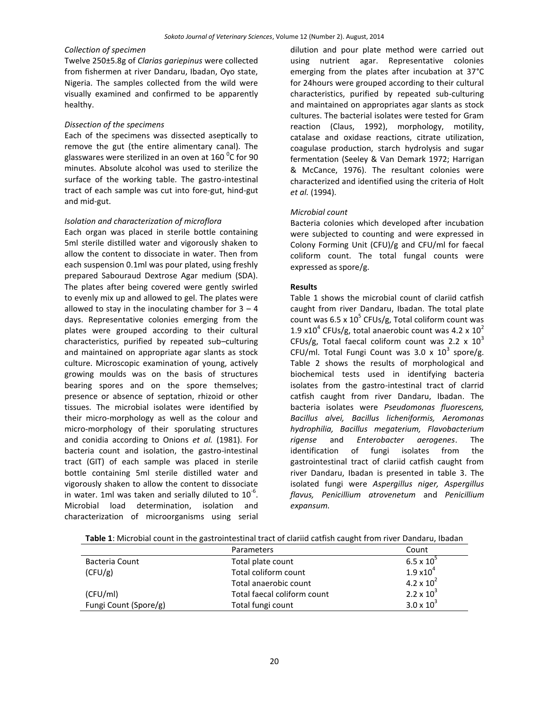# *Collection of specimen*

Twelve 250±5.8g of *Clarias gariepinus* were collected from fishermen at river Dandaru, Ibadan, Oyo state, Nigeria. The samples collected from the wild were visually examined and confirmed to be apparently healthy.

#### *Dissection of the specimens*

Each of the specimens was dissected aseptically to remove the gut (the entire alimentary canal). The glasswares were sterilized in an oven at 160  $^0$ C for 90 minutes. Absolute alcohol was used to sterilize the surface of the working table. The gastro-intestinal tract of each sample was cut into fore-gut, hind-gut and mid-gut.

#### *Isolation and characterization of microflora*

Each organ was placed in sterile bottle containing 5ml sterile distilled water and vigorously shaken to allow the content to dissociate in water. Then from each suspension 0.1ml was pour plated, using freshly prepared Sabouraud Dextrose Agar medium (SDA). The plates after being covered were gently swirled to evenly mix up and allowed to gel. The plates were allowed to stay in the inoculating chamber for  $3 - 4$ days. Representative colonies emerging from the plates were grouped according to their cultural characteristics, purified by repeated sub–culturing and maintained on appropriate agar slants as stock culture. Microscopic examination of young, actively growing moulds was on the basis of structures bearing spores and on the spore themselves; presence or absence of septation, rhizoid or other tissues. The microbial isolates were identified by their micro-morphology as well as the colour and micro-morphology of their sporulating structures and conidia according to Onions *et al.* (1981). For bacteria count and isolation, the gastro-intestinal tract (GIT) of each sample was placed in sterile bottle containing 5ml sterile distilled water and vigorously shaken to allow the content to dissociate in water. 1ml was taken and serially diluted to  $10^{-6}$ . Microbial load determination, isolation and characterization of microorganisms using serial

dilution and pour plate method were carried out using nutrient agar. Representative colonies emerging from the plates after incubation at 37°C for 24hours were grouped according to their cultural characteristics, purified by repeated sub-culturing and maintained on appropriates agar slants as stock cultures. The bacterial isolates were tested for Gram reaction (Claus, 1992), morphology, motility, catalase and oxidase reactions, citrate utilization, coagulase production, starch hydrolysis and sugar fermentation (Seeley & Van Demark 1972; Harrigan & McCance, 1976). The resultant colonies were characterized and identified using the criteria of Holt *et al.* (1994).

#### *Microbial count*

Bacteria colonies which developed after incubation were subjected to counting and were expressed in Colony Forming Unit (CFU)/g and CFU/ml for faecal coliform count. The total fungal counts were expressed as spore/g.

#### **Results**

Table 1 shows the microbial count of clariid catfish caught from river Dandaru, Ibadan. The total plate count was 6.5 x  $10^5$  CFUs/g, Total coliform count was 1.9 x10<sup>4</sup> CFUs/g, total anaerobic count was 4.2 x 10<sup>2</sup> CFUs/g, Total faecal coliform count was 2.2  $\times$  10<sup>3</sup> CFU/ml. Total Fungi Count was  $3.0 \times 10^3$  spore/g. Table 2 shows the results of morphological and biochemical tests used in identifying bacteria isolates from the gastro-intestinal tract of clarrid catfish caught from river Dandaru, Ibadan. The bacteria isolates were *Pseudomonas fluorescens, Bacillus alvei, Bacillus licheniformis, Aeromonas hydrophilia, Bacillus megaterium, Flavobacterium rigense* and *Enterobacter aerogenes*. The identification of fungi isolates from the gastrointestinal tract of clariid catfish caught from river Dandaru, Ibadan is presented in table 3. The isolated fungi were *Aspergillus niger, Aspergillus flavus, Penicillium atrovenetum* and *Penicillium expansum.*

|                       | Parameters                  | Count               |
|-----------------------|-----------------------------|---------------------|
| Bacteria Count        | Total plate count           | $6.5 \times 10^{5}$ |
| (CFU/g)               | Total coliform count        | $1.9 \times 10^{4}$ |
|                       | Total anaerobic count       | $4.2 \times 10^{2}$ |
| (CFU/ml)              | Total faecal coliform count | $2.2 \times 10^{3}$ |
| Fungi Count (Spore/g) | Total fungi count           | $3.0 \times 10^{3}$ |

**Table 1**: Microbial count in the gastrointestinal tract of clariid catfish caught from river Dandaru, Ibadan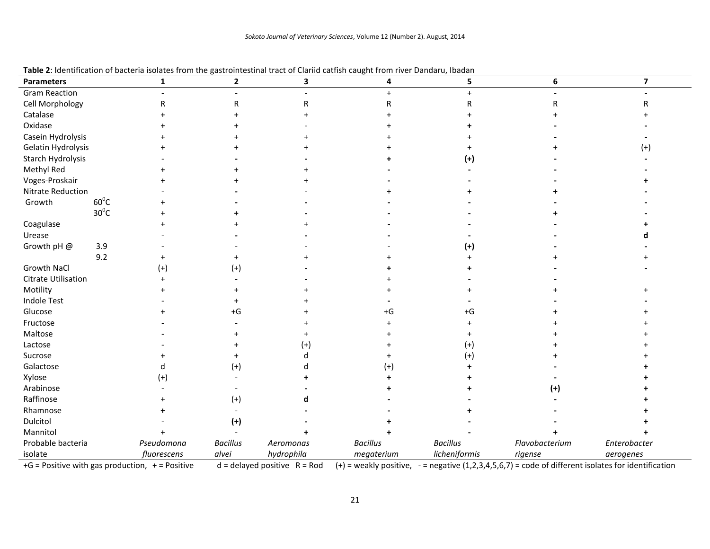| <b>Parameters</b>    |                | 1           | $\overline{2}$  | 3          | 4               | 5                                                                                               | 6              | $\overline{\mathbf{z}}$ |
|----------------------|----------------|-------------|-----------------|------------|-----------------|-------------------------------------------------------------------------------------------------|----------------|-------------------------|
| <b>Gram Reaction</b> |                |             |                 |            |                 |                                                                                                 |                |                         |
| Cell Morphology      |                |             | R               |            |                 |                                                                                                 |                |                         |
| Catalase             |                |             |                 |            |                 |                                                                                                 |                |                         |
| Oxidase              |                |             |                 |            |                 |                                                                                                 |                |                         |
| Casein Hydrolysis    |                |             |                 |            |                 |                                                                                                 |                |                         |
| Gelatin Hydrolysis   |                |             |                 |            |                 |                                                                                                 |                | (+)                     |
| Starch Hydrolysis    |                |             |                 |            |                 | $^{(+)}$                                                                                        |                |                         |
| Methyl Red           |                |             |                 |            |                 |                                                                                                 |                |                         |
| Voges-Proskair       |                |             |                 |            |                 |                                                                                                 |                |                         |
| Nitrate Reduction    |                |             |                 |            |                 |                                                                                                 |                |                         |
| Growth               | $60^{\circ}$ C |             |                 |            |                 |                                                                                                 |                |                         |
|                      | $30^0C$        |             |                 |            |                 |                                                                                                 |                |                         |
| Coagulase            |                |             |                 |            |                 |                                                                                                 |                |                         |
| Urease               |                |             |                 |            |                 |                                                                                                 |                |                         |
| Growth pH @          | 3.9            |             |                 |            |                 | (+)                                                                                             |                |                         |
|                      | 9.2            |             |                 |            |                 |                                                                                                 |                |                         |
| Growth NaCl          |                | (+)         | $^{(+)}$        |            |                 |                                                                                                 |                |                         |
| Citrate Utilisation  |                |             |                 |            |                 |                                                                                                 |                |                         |
| Motility             |                |             |                 |            |                 |                                                                                                 |                |                         |
| <b>Indole Test</b>   |                |             |                 |            |                 |                                                                                                 |                |                         |
| Glucose              |                |             | $+G$            |            | +G              | +G                                                                                              |                |                         |
| Fructose             |                |             |                 |            |                 |                                                                                                 |                |                         |
| Maltose              |                |             |                 |            |                 |                                                                                                 |                |                         |
| Lactose              |                |             |                 | $^{(+)}$   |                 | $^{(+)}$                                                                                        |                |                         |
| Sucrose              |                |             |                 |            |                 | $^{(+)}$                                                                                        |                |                         |
| Galactose            |                |             | $(+)$           |            |                 |                                                                                                 |                |                         |
| Xylose               |                | (+)         |                 |            |                 |                                                                                                 |                |                         |
| Arabinose            |                |             |                 |            |                 |                                                                                                 | (+)            |                         |
| Raffinose            |                |             | $^{(+)}$        |            |                 |                                                                                                 |                |                         |
| Rhamnose             |                |             |                 |            |                 |                                                                                                 |                |                         |
| Dulcitol             |                |             | $(+)$           |            |                 |                                                                                                 |                |                         |
| Mannitol             |                |             |                 |            |                 |                                                                                                 |                |                         |
| Probable bacteria    |                | Pseudomona  | <b>Bacillus</b> | Aeromonas  | <b>Bacillus</b> | <b>Bacillus</b>                                                                                 | Flavobacterium | Enterobacter            |
| isolate              |                | fluorescens | alvei           | hydrophila | megaterium      | licheniformis<br>$\mathbf{a} \mathbf{a} \mathbf{a} \mathbf{b} \mathbf{a} \mathbf{b} \mathbf{b}$ | rigense        | aerogenes               |

+G = Positive with gas production, += Positive d = delayed positive R = Rod (+) = weakly positive, - = negative (1,2,3,4,5,6,7) = code of different isolates for identification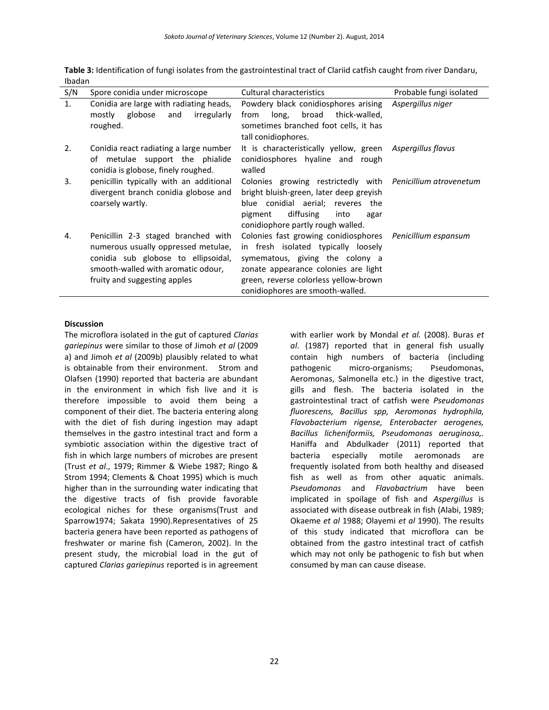| S/N | Spore conidia under microscope                                                                                                                                                          | <b>Cultural characteristics</b>                                                                                                                                                                                                                          | Probable fungi isolated |
|-----|-----------------------------------------------------------------------------------------------------------------------------------------------------------------------------------------|----------------------------------------------------------------------------------------------------------------------------------------------------------------------------------------------------------------------------------------------------------|-------------------------|
| 1.  | Conidia are large with radiating heads,<br>globose<br>and<br>irregularly<br>mostly<br>roughed.                                                                                          | Powdery black conidiosphores arising<br>broad<br>thick-walled,<br>long,<br>from<br>sometimes branched foot cells, it has<br>tall conidiophores.                                                                                                          | Aspergillus niger       |
| 2.  | Conidia react radiating a large number<br>of metulae support the phialide<br>conidia is globose, finely roughed.                                                                        | It is characteristically yellow, green<br>conidiosphores hyaline and rough<br>walled                                                                                                                                                                     | Aspergillus flavus      |
| 3.  | penicillin typically with an additional<br>divergent branch conidia globose and<br>coarsely wartly.                                                                                     | Colonies growing restrictedly with Penicillium atrovenetum<br>bright bluish-green, later deep greyish<br>blue conidial aerial; reveres the<br>diffusing<br>into<br>pigment<br>agar<br>conidiophore partly rough walled.                                  |                         |
| 4.  | Penicillin 2-3 staged branched with<br>numerous usually oppressed metulae,<br>conidia sub globose to ellipsoidal,<br>smooth-walled with aromatic odour,<br>fruity and suggesting apples | Colonies fast growing conidiosphores Penicillium espansum<br>in fresh isolated typically loosely<br>symematous, giving the colony a<br>zonate appearance colonies are light<br>green, reverse colorless yellow-brown<br>conidiophores are smooth-walled. |                         |

**Table 3:** Identification of fungi isolates from the gastrointestinal tract of Clariid catfish caught from river Dandaru, Ibadan

#### **Discussion**

The microflora isolated in the gut of captured *Clarias gariepinus* were similar to those of Jimoh *et al* (2009 a) and Jimoh *et al* (2009b) plausibly related to what is obtainable from their environment. Strom and Olafsen (1990) reported that bacteria are abundant in the environment in which fish live and it is therefore impossible to avoid them being a component of their diet. The bacteria entering along with the diet of fish during ingestion may adapt themselves in the gastro intestinal tract and form a symbiotic association within the digestive tract of fish in which large numbers of microbes are present (Trust *et al*., 1979; Rimmer & Wiebe 1987; Ringo & Strom 1994; Clements & Choat 1995) which is much higher than in the surrounding water indicating that the digestive tracts of fish provide favorable ecological niches for these organisms(Trust and Sparrow1974; Sakata 1990).Representatives of 25 bacteria genera have been reported as pathogens of freshwater or marine fish (Cameron, 2002). In the present study, the microbial load in the gut of captured *Clarias gariepinus* reported is in agreement

with earlier work by Mondal *et al.* (2008). Buras *et al*. (1987) reported that in general fish usually contain high numbers of bacteria (including pathogenic micro-organisms; Pseudomonas, Aeromonas, Salmonella etc.) in the digestive tract, gills and flesh. The bacteria isolated in the gastrointestinal tract of catfish were *Pseudomonas fluorescens, Bacillus spp, Aeromonas hydrophila, Flavobacterium rigense, Enterobacter aerogenes, Bacillus licheniformiis, Pseudomonas aeruginosa,.*  Haniffa and Abdulkader (2011) reported that bacteria especially motile aeromonads are frequently isolated from both healthy and diseased fish as well as from other aquatic animals. *Pseudomonas* and *Flavobactrium* have been implicated in spoilage of fish and *Aspergillus* is associated with disease outbreak in fish (Alabi, 1989; Okaeme *et al* 1988; Olayemi *et al* 1990). The results of this study indicated that microflora can be obtained from the gastro intestinal tract of catfish which may not only be pathogenic to fish but when consumed by man can cause disease.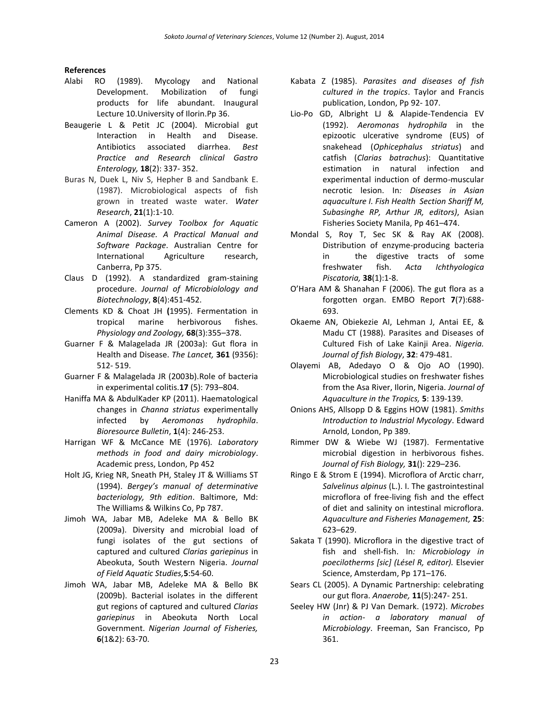#### **References**

- Alabi RO (1989). Mycology and National Development. Mobilization of fungi products for life abundant. Inaugural Lecture 10.University of Ilorin.Pp 36.
- Beaugerie L & Petit JC (2004). Microbial gut Interaction in Health and Disease. Antibiotics associated diarrhea. *Best Practice and Research clinical Gastro Enterology,* **18**(2): 337- 352.
- Buras N, Duek L, Niv S, Hepher B and Sandbank E. (1987). Microbiological aspects of fish grown in treated waste water. *Water Research*, **21**(1):1-10.
- Cameron A (2002). *Survey Toolbox for Aquatic Animal Disease. A Practical Manual and Software Package*. Australian Centre for International Agriculture research, Canberra, Pp 375.
- Claus D (1992). A standardized gram-staining procedure. *Journal of Microbiolology and Biotechnology*, **8**(4):451-452.
- Clements KD & Choat JH **(**1995). Fermentation in tropical marine herbivorous fishes. *Physiology and Zoology,* **68**(3):355–378.
- Guarner F & Malagelada JR (2003a): Gut flora in Health and Disease. *The Lancet,* **361** (9356): 512- 519.
- Guarner F & Malagelada JR (2003b).Role of bacteria in experimental colitis.**17** (5): 793–804.
- Haniffa MA & AbdulKader KP (2011). Haematological changes in *Channa striatus* experimentally infected by *Aeromonas hydrophila*. *Bioresource Bulletin*, **1**(4): 246-253.
- Harrigan WF & McCance ME (1976)*. Laboratory methods in food and dairy microbiology*. Academic press, London, Pp 452
- Holt JG, Krieg NR, Sneath PH, Staley JT & Williams ST (1994). *Bergey's manual of determinative bacteriology, 9th edition*. Baltimore, Md: The Williams & Wilkins Co, Pp 787.
- Jimoh WA, Jabar MB, Adeleke MA & Bello BK (2009a). Diversity and microbial load of fungi isolates of the gut sections of captured and cultured *Clarias gariepinus* in Abeokuta, South Western Nigeria. *Journal of Field Aquatic Studies,***5**:54-60.
- Jimoh WA, Jabar MB, Adeleke MA & Bello BK (2009b). Bacterial isolates in the different gut regions of captured and cultured *Clarias gariepinus* in Abeokuta North Local Government. *Nigerian Journal of Fisheries,*  **6**(1&2): 63-70.
- Kabata Z (1985). *Parasites and diseases of fish cultured in the tropics*. Taylor and Francis publication, London, Pp 92- 107.
- Lio-Po GD, Albright LJ & Alapide-Tendencia EV (1992). *Aeromonas hydrophila* in the epizootic ulcerative syndrome (EUS) of snakehead (*Ophicephalus striatus*) and catfish (*Clarias batrachus*): Quantitative estimation in natural infection and experimental induction of dermo-muscular necrotic lesion. In*: Diseases in Asian aquaculture I. Fish Health Section Shariff M, Subasinghe RP, Arthur JR, editors)*, Asian Fisheries Society Manila, Pp 461–474.
- Mondal S, Roy T, Sec SK & Ray AK (2008). Distribution of enzyme-producing bacteria in the digestive tracts of some freshwater fish. *Acta Ichthyologica Piscatoria,* **38**(1):1-8.
- O'Hara AM & Shanahan F (2006). The gut flora as a forgotten organ. EMBO Report **7**(7):688- 693.
- Okaeme AN, Obiekezie AI, Lehman J, Antai EE, & Madu CT (1988). Parasites and Diseases of Cultured Fish of Lake Kainji Area. *Nigeria. Journal of fish Biology*, **32**: 479-481.
- Olayemi AB, Adedayo O & Ojo AO (1990). Microbiological studies on freshwater fishes from the Asa River, Ilorin, Nigeria. *Journal of Aquaculture in the Tropics,* **5**: 139-139.
- Onions AHS, Allsopp D & Eggins HOW (1981). *Smiths Introduction to Industrial Mycology*. Edward Arnold, London, Pp 389.
- Rimmer DW & Wiebe WJ (1987). Fermentative microbial digestion in herbivorous fishes. *Journal of Fish Biology,* **31**(): 229–236.
- Ringo E & Strom E (1994). Microflora of Arctic charr, *Salvelinus alpinus* (L.). I. The gastrointestinal microflora of free-living fish and the effect of diet and salinity on intestinal microflora. *Aquaculture and Fisheries Management,* **25**: 623–629.
- Sakata T (1990). Microflora in the digestive tract of fish and shell-fish. In*: Microbiology in poecilotherms [sic] (Lésel R, editor).* Elsevier Science, Amsterdam, Pp 171–176.
- Sears CL (2005). A Dynamic Partnership: celebrating our gut flora. *Anaerobe,* **11**(5):247- 251.
- Seeley HW (Jnr) & PJ Van Demark. (1972). *Microbes in action- a laboratory manual of Microbiology*. Freeman, San Francisco, Pp 361.